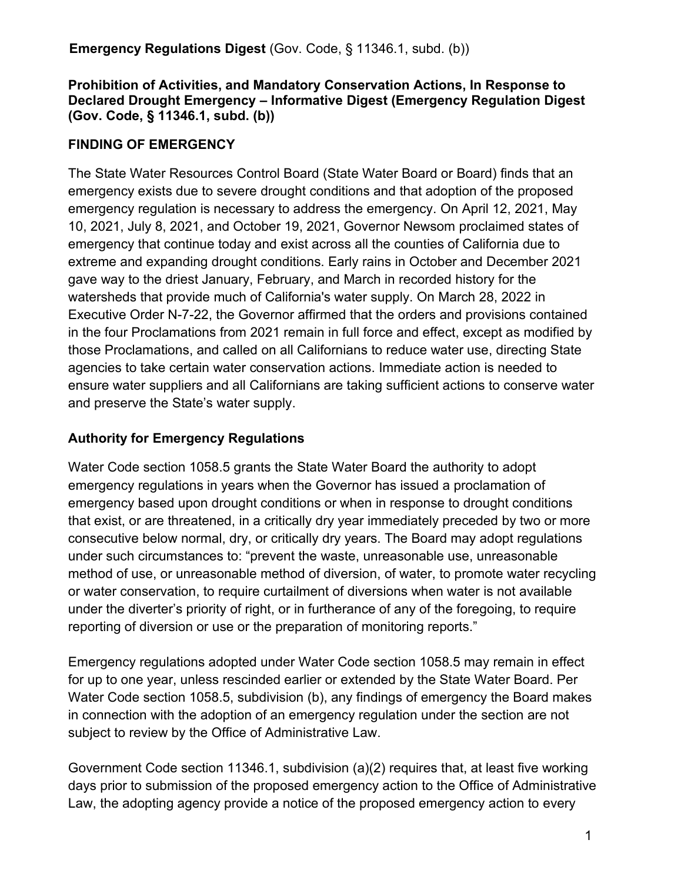#### **Prohibition of Activities, and Mandatory Conservation Actions, In Response to Declared Drought Emergency – Informative Digest (Emergency Regulation Digest (Gov. Code, § 11346.1, subd. (b))**

### **FINDING OF EMERGENCY**

The State Water Resources Control Board (State Water Board or Board) finds that an emergency exists due to severe drought conditions and that adoption of the proposed emergency regulation is necessary to address the emergency. On April 12, 2021, May 10, 2021, July 8, 2021, and October 19, 2021, Governor Newsom proclaimed states of emergency that continue today and exist across all the counties of California due to extreme and expanding drought conditions. Early rains in October and December 2021 gave way to the driest January, February, and March in recorded history for the watersheds that provide much of California's water supply. On March 28, 2022 in Executive Order N-7-22, the Governor affirmed that the orders and provisions contained in the four Proclamations from 2021 remain in full force and effect, except as modified by those Proclamations, and called on all Californians to reduce water use, directing State agencies to take certain water conservation actions. Immediate action is needed to ensure water suppliers and all Californians are taking sufficient actions to conserve water and preserve the State's water supply.

### **Authority for Emergency Regulations**

Water Code section 1058.5 grants the State Water Board the authority to adopt emergency regulations in years when the Governor has issued a proclamation of emergency based upon drought conditions or when in response to drought conditions that exist, or are threatened, in a critically dry year immediately preceded by two or more consecutive below normal, dry, or critically dry years. The Board may adopt regulations under such circumstances to: "prevent the waste, unreasonable use, unreasonable method of use, or unreasonable method of diversion, of water, to promote water recycling or water conservation, to require curtailment of diversions when water is not available under the diverter's priority of right, or in furtherance of any of the foregoing, to require reporting of diversion or use or the preparation of monitoring reports."

Emergency regulations adopted under Water Code section 1058.5 may remain in effect for up to one year, unless rescinded earlier or extended by the State Water Board. Per Water Code section 1058.5, subdivision (b), any findings of emergency the Board makes in connection with the adoption of an emergency regulation under the section are not subject to review by the Office of Administrative Law.

Government Code section 11346.1, subdivision (a)(2) requires that, at least five working days prior to submission of the proposed emergency action to the Office of Administrative Law, the adopting agency provide a notice of the proposed emergency action to every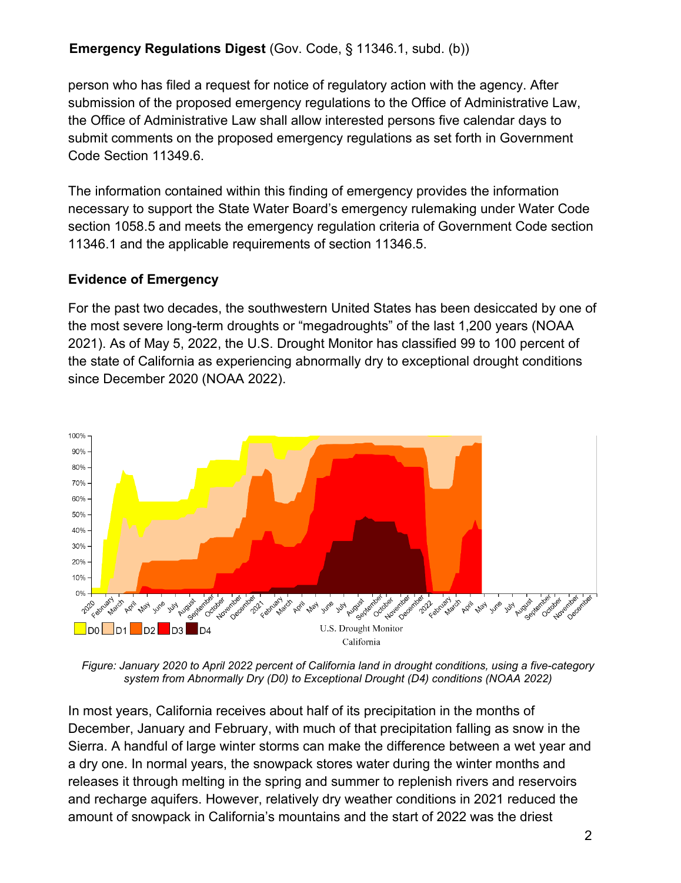person who has filed a request for notice of regulatory action with the agency. After submission of the proposed emergency regulations to the Office of Administrative Law, the Office of Administrative Law shall allow interested persons five calendar days to submit comments on the proposed emergency regulations as set forth in Government Code Section 11349.6.

The information contained within this finding of emergency provides the information necessary to support the State Water Board's emergency rulemaking under Water Code section 1058.5 and meets the emergency regulation criteria of Government Code section 11346.1 and the applicable requirements of section 11346.5.

### **Evidence of Emergency**

For the past two decades, the southwestern United States has been desiccated by one of the most severe long-term droughts or "megadroughts" of the last 1,200 years (NOAA 2021). As of May 5, 2022, the U.S. Drought Monitor has classified 99 to 100 percent of the state of California as experiencing abnormally dry to exceptional drought conditions since December 2020 (NOAA 2022).



*Figure: January 2020 to April 2022 percent of California land in drought conditions, using a five-category system from Abnormally Dry (D0) to Exceptional Drought (D4) conditions (NOAA 2022)*

In most years, California receives about half of its precipitation in the months of December, January and February, with much of that precipitation falling as snow in the Sierra. A handful of large winter storms can make the difference between a wet year and a dry one. In normal years, the snowpack stores water during the winter months and releases it through melting in the spring and summer to replenish rivers and reservoirs and recharge aquifers. However, relatively dry weather conditions in 2021 reduced the amount of snowpack in California's mountains and the start of 2022 was the driest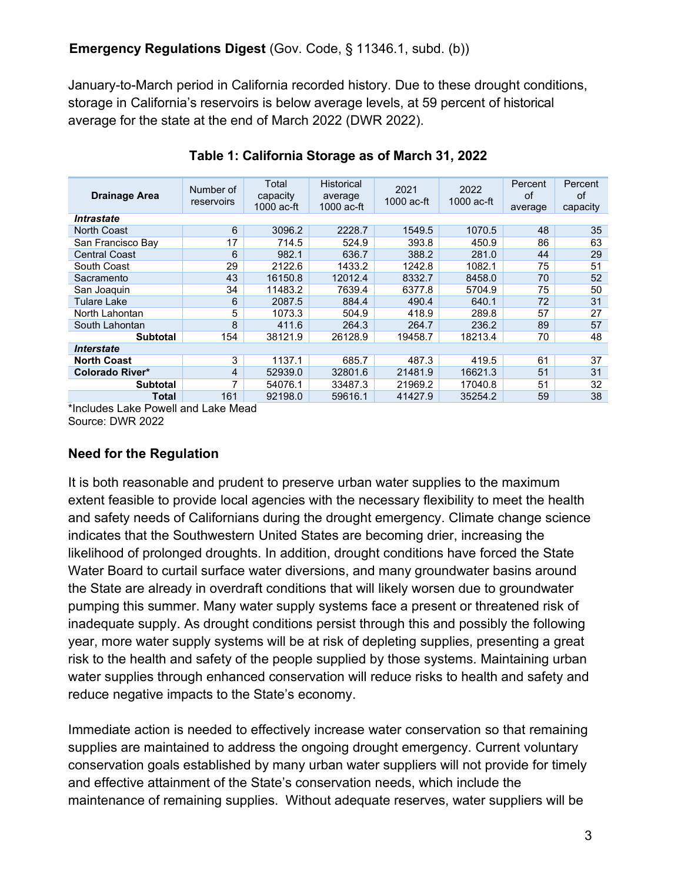January-to-March period in California recorded history. Due to these drought conditions, storage in California's reservoirs is below average levels, at 59 percent of historical average for the state at the end of March 2022 (DWR 2022).

| <b>Drainage Area</b>     | Number of<br>reservoirs | Total<br>capacity<br>$1000$ ac-ft | <b>Historical</b><br>average<br>$1000$ ac-ft | 2021<br>$1000$ ac-ft | 2022<br>1000 ac-ft | Percent<br>οf<br>average | Percent<br>of<br>capacity |
|--------------------------|-------------------------|-----------------------------------|----------------------------------------------|----------------------|--------------------|--------------------------|---------------------------|
| <i><b>Intrastate</b></i> |                         |                                   |                                              |                      |                    |                          |                           |
| <b>North Coast</b>       | 6                       | 3096.2                            | 2228.7                                       | 1549.5               | 1070.5             | 48                       | 35                        |
| San Francisco Bay        | 17                      | 714.5                             | 524.9                                        | 393.8                | 450.9              | 86                       | 63                        |
| <b>Central Coast</b>     | 6                       | 982.1                             | 636.7                                        | 388.2                | 281.0              | 44                       | 29                        |
| South Coast              | 29                      | 2122.6                            | 1433.2                                       | 1242.8               | 1082.1             | 75                       | 51                        |
| Sacramento               | 43                      | 16150.8                           | 12012.4                                      | 8332.7               | 8458.0             | 70                       | 52                        |
| San Joaquin              | 34                      | 11483.2                           | 7639.4                                       | 6377.8               | 5704.9             | 75                       | 50                        |
| Tulare Lake              | 6                       | 2087.5                            | 884.4                                        | 490.4                | 640.1              | 72                       | 31                        |
| North Lahontan           | 5                       | 1073.3                            | 504.9                                        | 418.9                | 289.8              | 57                       | 27                        |
| South Lahontan           | 8                       | 411.6                             | 264.3                                        | 264.7                | 236.2              | 89                       | 57                        |
| <b>Subtotal</b>          | 154                     | 38121.9                           | 26128.9                                      | 19458.7              | 18213.4            | 70                       | 48                        |
| <i><b>Interstate</b></i> |                         |                                   |                                              |                      |                    |                          |                           |
| <b>North Coast</b>       | 3                       | 1137.1                            | 685.7                                        | 487.3                | 419.5              | 61                       | 37                        |
| Colorado River*          | $\overline{4}$          | 52939.0                           | 32801.6                                      | 21481.9              | 16621.3            | 51                       | 31                        |
| <b>Subtotal</b>          | 7                       | 54076.1                           | 33487.3                                      | 21969.2              | 17040.8            | 51                       | 32                        |
| Total                    | 161                     | 92198.0                           | 59616.1                                      | 41427.9              | 35254.2            | 59                       | 38                        |

### **Table 1: California Storage as of March 31, 2022**

\*Includes Lake Powell and Lake Mead Source: DWR 2022

# **Need for the Regulation**

It is both reasonable and prudent to preserve urban water supplies to the maximum extent feasible to provide local agencies with the necessary flexibility to meet the health and safety needs of Californians during the drought emergency. Climate change science indicates that the Southwestern United States are becoming drier, increasing the likelihood of prolonged droughts. In addition, drought conditions have forced the State Water Board to curtail surface water diversions, and many groundwater basins around the State are already in overdraft conditions that will likely worsen due to groundwater pumping this summer. Many water supply systems face a present or threatened risk of inadequate supply. As drought conditions persist through this and possibly the following year, more water supply systems will be at risk of depleting supplies, presenting a great risk to the health and safety of the people supplied by those systems. Maintaining urban water supplies through enhanced conservation will reduce risks to health and safety and reduce negative impacts to the State's economy.

Immediate action is needed to effectively increase water conservation so that remaining supplies are maintained to address the ongoing drought emergency. Current voluntary conservation goals established by many urban water suppliers will not provide for timely and effective attainment of the State's conservation needs, which include the maintenance of remaining supplies. Without adequate reserves, water suppliers will be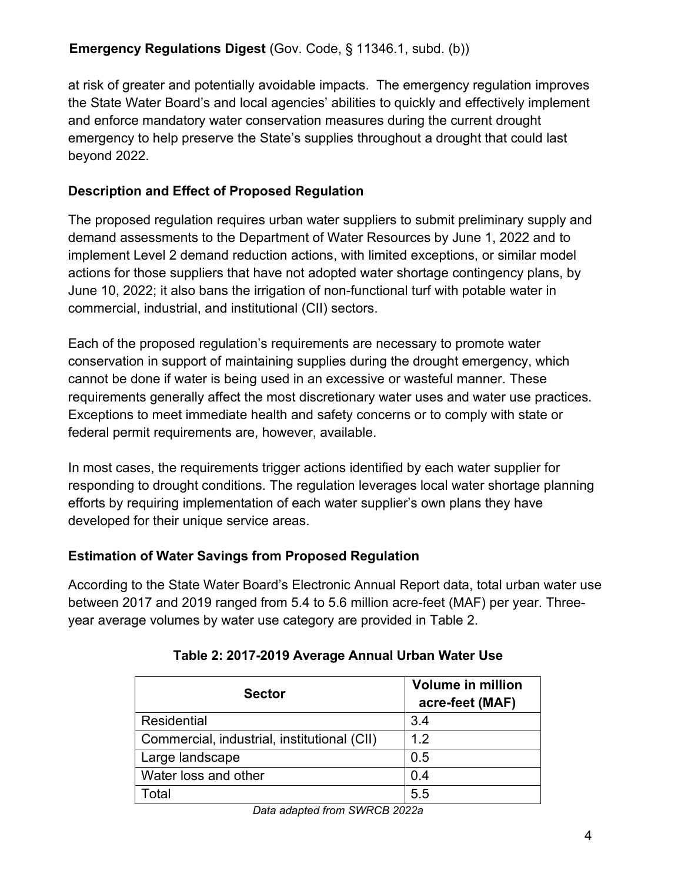at risk of greater and potentially avoidable impacts. The emergency regulation improves the State Water Board's and local agencies' abilities to quickly and effectively implement and enforce mandatory water conservation measures during the current drought emergency to help preserve the State's supplies throughout a drought that could last beyond 2022.

# **Description and Effect of Proposed Regulation**

The proposed regulation requires urban water suppliers to submit preliminary supply and demand assessments to the Department of Water Resources by June 1, 2022 and to implement Level 2 demand reduction actions, with limited exceptions, or similar model actions for those suppliers that have not adopted water shortage contingency plans, by June 10, 2022; it also bans the irrigation of non-functional turf with potable water in commercial, industrial, and institutional (CII) sectors.

Each of the proposed regulation's requirements are necessary to promote water conservation in support of maintaining supplies during the drought emergency, which cannot be done if water is being used in an excessive or wasteful manner. These requirements generally affect the most discretionary water uses and water use practices. Exceptions to meet immediate health and safety concerns or to comply with state or federal permit requirements are, however, available.

In most cases, the requirements trigger actions identified by each water supplier for responding to drought conditions. The regulation leverages local water shortage planning efforts by requiring implementation of each water supplier's own plans they have developed for their unique service areas.

# **Estimation of Water Savings from Proposed Regulation**

<span id="page-3-0"></span>According to the State Water Board's Electronic Annual Report data, total urban water use between 2017 and 2019 ranged from 5.4 to 5.6 million acre-feet (MAF) per year. Threeyear average volumes by water use category are provided in [Table](#page-3-0) 2.

| <b>Sector</b>                               | <b>Volume in million</b><br>acre-feet (MAF) |
|---------------------------------------------|---------------------------------------------|
| Residential                                 | 3.4                                         |
| Commercial, industrial, institutional (CII) | 12                                          |
| Large landscape                             | 0.5                                         |
| Water loss and other                        | 0.4                                         |
| Total                                       | 5.5                                         |

# **Table 2: 2017-2019 Average Annual Urban Water Use**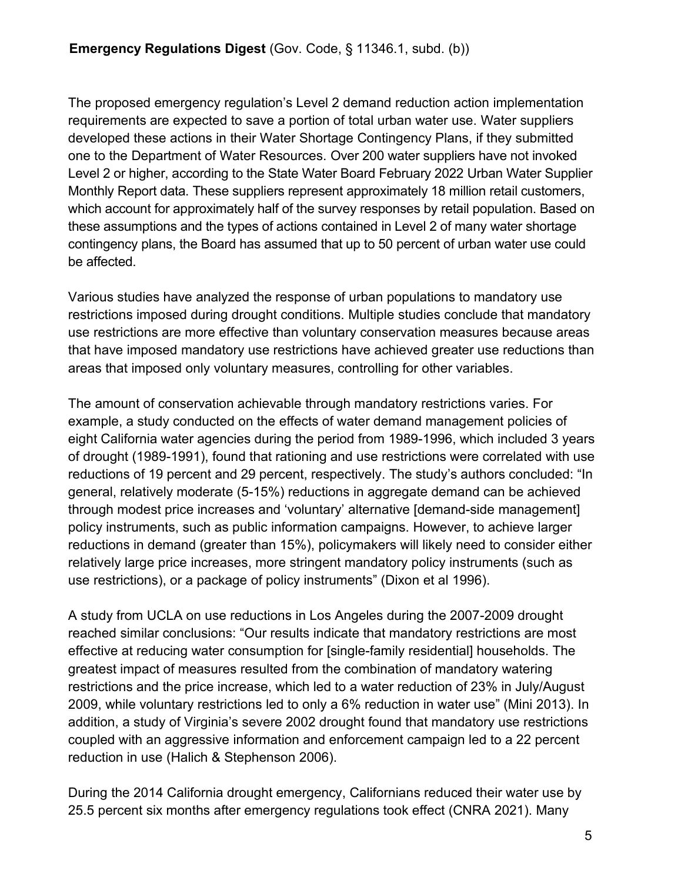The proposed emergency regulation's Level 2 demand reduction action implementation requirements are expected to save a portion of total urban water use. Water suppliers developed these actions in their Water Shortage Contingency Plans, if they submitted one to the Department of Water Resources. Over 200 water suppliers have not invoked Level 2 or higher, according to the State Water Board February 2022 Urban Water Supplier Monthly Report data. These suppliers represent approximately 18 million retail customers, which account for approximately half of the survey responses by retail population. Based on these assumptions and the types of actions contained in Level 2 of many water shortage contingency plans, the Board has assumed that up to 50 percent of urban water use could be affected.

Various studies have analyzed the response of urban populations to mandatory use restrictions imposed during drought conditions. Multiple studies conclude that mandatory use restrictions are more effective than voluntary conservation measures because areas that have imposed mandatory use restrictions have achieved greater use reductions than areas that imposed only voluntary measures, controlling for other variables.

The amount of conservation achievable through mandatory restrictions varies. For example, a study conducted on the effects of water demand management policies of eight California water agencies during the period from 1989-1996, which included 3 years of drought (1989-1991), found that rationing and use restrictions were correlated with use reductions of 19 percent and 29 percent, respectively. The study's authors concluded: "In general, relatively moderate (5-15%) reductions in aggregate demand can be achieved through modest price increases and 'voluntary' alternative [demand-side management] policy instruments, such as public information campaigns. However, to achieve larger reductions in demand (greater than 15%), policymakers will likely need to consider either relatively large price increases, more stringent mandatory policy instruments (such as use restrictions), or a package of policy instruments" (Dixon et al 1996).

A study from UCLA on use reductions in Los Angeles during the 2007-2009 drought reached similar conclusions: "Our results indicate that mandatory restrictions are most effective at reducing water consumption for [single-family residential] households. The greatest impact of measures resulted from the combination of mandatory watering restrictions and the price increase, which led to a water reduction of 23% in July/August 2009, while voluntary restrictions led to only a 6% reduction in water use" (Mini 2013). In addition, a study of Virginia's severe 2002 drought found that mandatory use restrictions coupled with an aggressive information and enforcement campaign led to a 22 percent reduction in use (Halich & Stephenson 2006).

During the 2014 California drought emergency, Californians reduced their water use by 25.5 percent six months after emergency regulations took effect (CNRA 2021). Many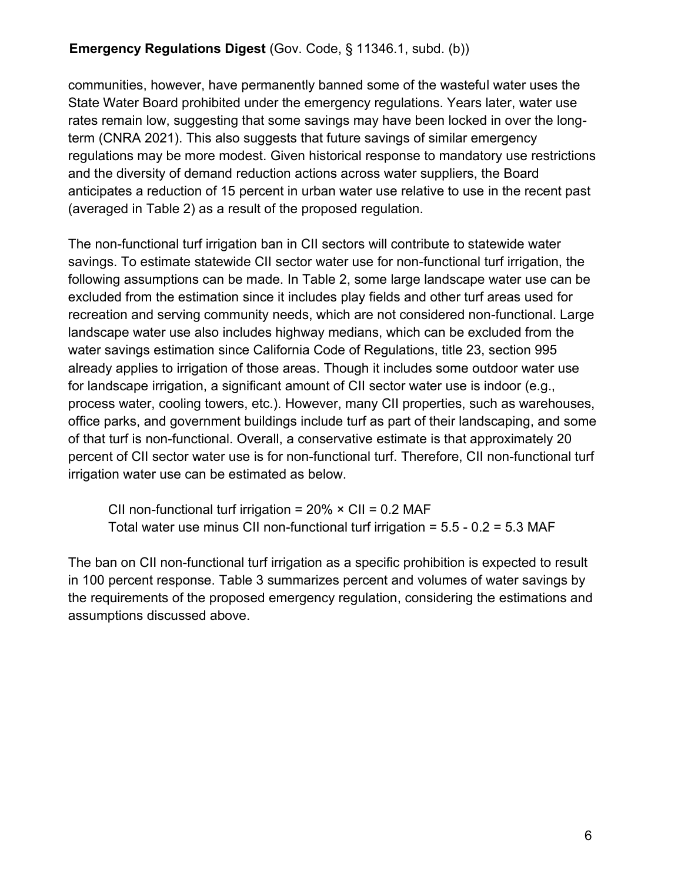communities, however, have permanently banned some of the wasteful water uses the State Water Board prohibited under the emergency regulations. Years later, water use rates remain low, suggesting that some savings may have been locked in over the longterm (CNRA 2021). This also suggests that future savings of similar emergency regulations may be more modest. Given historical response to mandatory use restrictions and the diversity of demand reduction actions across water suppliers, the Board anticipates a reduction of 15 percent in urban water use relative to use in the recent past (averaged in Table 2) as a result of the proposed regulation.

The non-functional turf irrigation ban in CII sectors will contribute to statewide water savings. To estimate statewide CII sector water use for non-functional turf irrigation, the following assumptions can be made. In Table 2, some large landscape water use can be excluded from the estimation since it includes play fields and other turf areas used for recreation and serving community needs, which are not considered non-functional. Large landscape water use also includes highway medians, which can be excluded from the water savings estimation since California Code of Regulations, title 23, section 995 already applies to irrigation of those areas. Though it includes some outdoor water use for landscape irrigation, a significant amount of CII sector water use is indoor (e.g., process water, cooling towers, etc.). However, many CII properties, such as warehouses, office parks, and government buildings include turf as part of their landscaping, and some of that turf is non-functional. Overall, a conservative estimate is that approximately 20 percent of CII sector water use is for non-functional turf. Therefore, CII non-functional turf irrigation water use can be estimated as below.

CII non-functional turf irrigation =  $20\% \times$  CII = 0.2 MAF Total water use minus CII non-functional turf irrigation = 5.5 - 0.2 = 5.3 MAF

The ban on CII non-functional turf irrigation as a specific prohibition is expected to result in 100 percent response. Table 3 summarizes percent and volumes of water savings by the requirements of the proposed emergency regulation, considering the estimations and assumptions discussed above.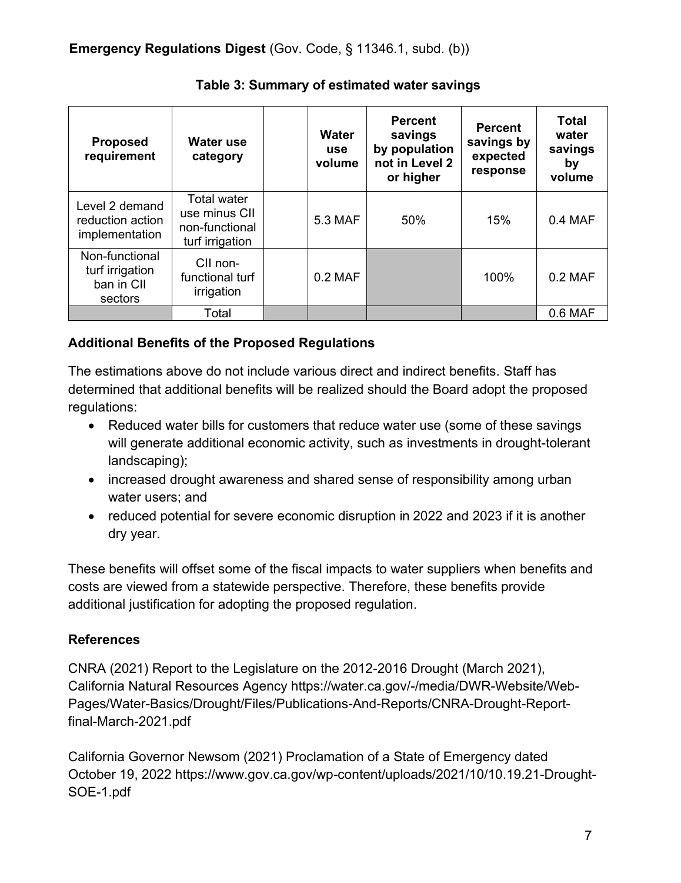| <b>Proposed</b><br>requirement                             | Water use<br>category                                                    | Water<br><b>use</b><br>volume | <b>Percent</b><br>savings<br>by population<br>not in Level 2<br>or higher | <b>Percent</b><br>savings by<br>expected<br>response | <b>Total</b><br>water<br>savings<br>by<br>volume |
|------------------------------------------------------------|--------------------------------------------------------------------------|-------------------------------|---------------------------------------------------------------------------|------------------------------------------------------|--------------------------------------------------|
| Level 2 demand<br>reduction action<br>implementation       | <b>Total water</b><br>use minus CII<br>non-functional<br>turf irrigation | 5.3 MAF                       | 50%                                                                       | 15%                                                  | 0.4 MAF                                          |
| Non-functional<br>turf irrigation<br>ban in CII<br>sectors | CII non-<br>functional turf<br>irrigation                                | $0.2$ MAF                     |                                                                           | 100%                                                 | $0.2$ MAF                                        |
|                                                            | Total                                                                    |                               |                                                                           |                                                      | 0.6 MAF                                          |

**Table 3: Summary of estimated water savings**

### **Additional Benefits of the Proposed Regulations**

The estimations above do not include various direct and indirect benefits. Staff has determined that additional benefits will be realized should the Board adopt the proposed regulations:

- · Reduced water bills for customers that reduce water use (some of these savings will generate additional economic activity, such as investments in drought-tolerant landscaping);
- increased drought awareness and shared sense of responsibility among urban water users; and
- · reduced potential for severe economic disruption in 2022 and 2023 if it is another dry year.

These benefits will offset some of the fiscal impacts to water suppliers when benefits and costs are viewed from a statewide perspective. Therefore, these benefits provide additional justification for adopting the proposed regulation.

# **References**

CNRA (2021) Report to the Legislature on the 2012-2016 Drought (March 2021), California Natural Resources Agency https://water.ca.gov/-/media/DWR-Website/Web-Pages/Water-Basics/Drought/Files/Publications-And-Reports/CNRA-Drought-Reportfinal-March-2021.pdf

California Governor Newsom (2021) Proclamation of a State of Emergency dated October 19, 2022 [https://www.gov.ca.gov/wp-content/uploads/2021/10/10.19.21-Drought-](https://www.gov.ca.gov/wp-content/uploads/2021/10/10.19.21-Drought-SOE-1.pdf)[SOE-1.pdf](https://www.gov.ca.gov/wp-content/uploads/2021/10/10.19.21-Drought-SOE-1.pdf)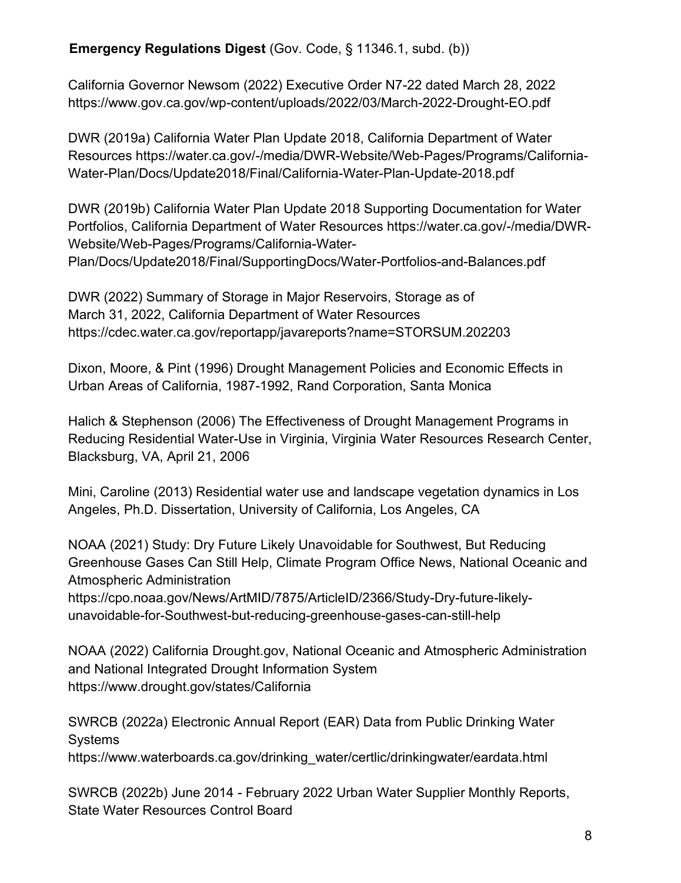California Governor Newsom (2022) Executive Order N7-22 dated March 28, 2022 https://www.gov.ca.gov/wp-content/uploads/2022/03/March-2022-Drought-EO.pdf

DWR (2019a) California Water Plan Update 2018, California Department of Water Resources [https://water.ca.gov/-/media/DWR-Website/Web-Pages/Programs/California-](https://water.ca.gov/-/media/DWR-Website/Web-Pages/Programs/California-Water-Plan/Docs/Update2018/Final/California-Water-Plan-Update-2018.pdf)[Water-Plan/Docs/Update2018/Final/California-Water-Plan-Update-2018.pdf](https://water.ca.gov/-/media/DWR-Website/Web-Pages/Programs/California-Water-Plan/Docs/Update2018/Final/California-Water-Plan-Update-2018.pdf)

DWR (2019b) California Water Plan Update 2018 Supporting Documentation for Water Portfolios, California Department of Water Resources https://water.ca.gov/-/media/DWR-Website/Web-Pages/Programs/California-Water-Plan/Docs/Update2018/Final/SupportingDocs/Water-Portfolios-and-Balances.pdf

DWR (2022) Summary of Storage in Major Reservoirs, Storage as of March 31, 2022, California Department of Water Resources https://cdec.water.ca.gov/reportapp/javareports?name=STORSUM.202203

Dixon, Moore, & Pint (1996) Drought Management Policies and Economic Effects in Urban Areas of California, 1987-1992, Rand Corporation, Santa Monica

Halich & Stephenson (2006) The Effectiveness of Drought Management Programs in Reducing Residential Water-Use in Virginia, Virginia Water Resources Research Center, Blacksburg, VA, April 21, 2006

Mini, Caroline (2013) Residential water use and landscape vegetation dynamics in Los Angeles, Ph.D. Dissertation, University of California, Los Angeles, CA

NOAA (2021) Study: Dry Future Likely Unavoidable for Southwest, But Reducing Greenhouse Gases Can Still Help, Climate Program Office News, National Oceanic and Atmospheric Administration

[https://cpo.noaa.gov/News/ArtMID/7875/ArticleID/2366/Study-Dry-future-likely](https://cpo.noaa.gov/News/ArtMID/7875/ArticleID/2366/Study-Dry-future-likely-unavoidable-for-Southwest-but-reducing-greenhouse-gases-can-still-help)[unavoidable-for-Southwest-but-reducing-greenhouse-gases-can-still-help](https://cpo.noaa.gov/News/ArtMID/7875/ArticleID/2366/Study-Dry-future-likely-unavoidable-for-Southwest-but-reducing-greenhouse-gases-can-still-help)

NOAA (2022) California Drought.gov, National Oceanic and Atmospheric Administration and National Integrated Drought Information System https://www.drought.gov/states/California

SWRCB (2022a) Electronic Annual Report (EAR) Data from Public Drinking Water Systems https://www.waterboards.ca.gov/drinking\_water/certlic/drinkingwater/eardata.html

SWRCB (2022b) June 2014 - February 2022 Urban Water Supplier Monthly Reports, State Water Resources Control Board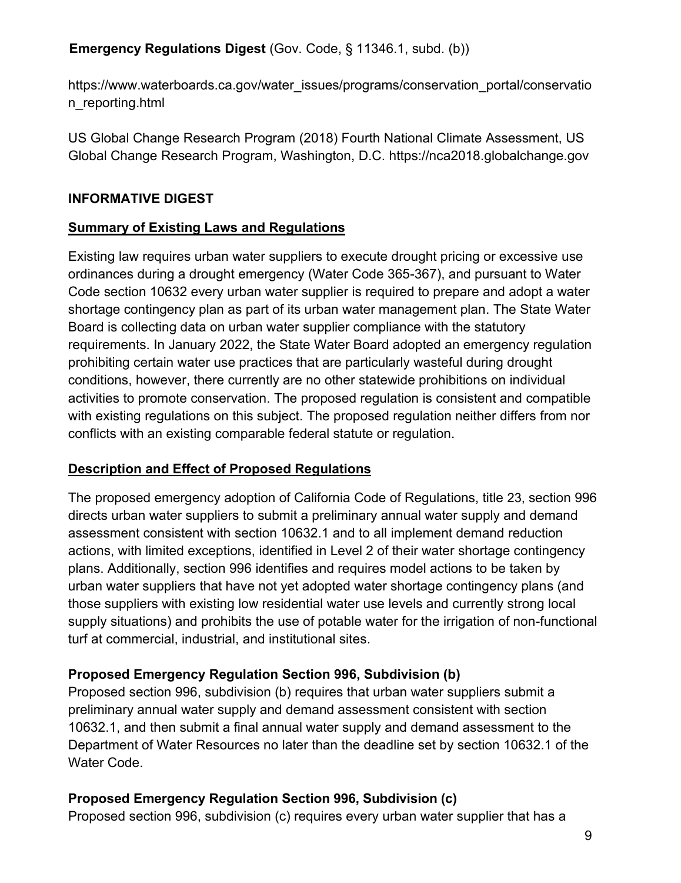https://www.waterboards.ca.gov/water\_issues/programs/conservation\_portal/conservatio n\_reporting.html

US Global Change Research Program (2018) Fourth National Climate Assessment, US Global Change Research Program, Washington, D.C. https://nca2018.globalchange.gov

# **INFORMATIVE DIGEST**

# **Summary of Existing Laws and Regulations**

Existing law requires urban water suppliers to execute drought pricing or excessive use ordinances during a drought emergency (Water Code 365-367), and pursuant to Water Code section 10632 every urban water supplier is required to prepare and adopt a water shortage contingency plan as part of its urban water management plan. The State Water Board is collecting data on urban water supplier compliance with the statutory requirements. In January 2022, the State Water Board adopted an emergency regulation prohibiting certain water use practices that are particularly wasteful during drought conditions, however, there currently are no other statewide prohibitions on individual activities to promote conservation. The proposed regulation is consistent and compatible with existing regulations on this subject. The proposed regulation neither differs from nor conflicts with an existing comparable federal statute or regulation.

# **Description and Effect of Proposed Regulations**

The proposed emergency adoption of California Code of Regulations, title 23, section 996 directs urban water suppliers to submit a preliminary annual water supply and demand assessment consistent with section 10632.1 and to all implement demand reduction actions, with limited exceptions, identified in Level 2 of their water shortage contingency plans. Additionally, section 996 identifies and requires model actions to be taken by urban water suppliers that have not yet adopted water shortage contingency plans (and those suppliers with existing low residential water use levels and currently strong local supply situations) and prohibits the use of potable water for the irrigation of non-functional turf at commercial, industrial, and institutional sites.

# **Proposed Emergency Regulation Section 996, Subdivision (b)**

Proposed section 996, subdivision (b) requires that urban water suppliers submit a preliminary annual water supply and demand assessment consistent with section 10632.1, and then submit a final annual water supply and demand assessment to the Department of Water Resources no later than the deadline set by section 10632.1 of the Water Code.

# **Proposed Emergency Regulation Section 996, Subdivision (c)**

Proposed section 996, subdivision (c) requires every urban water supplier that has a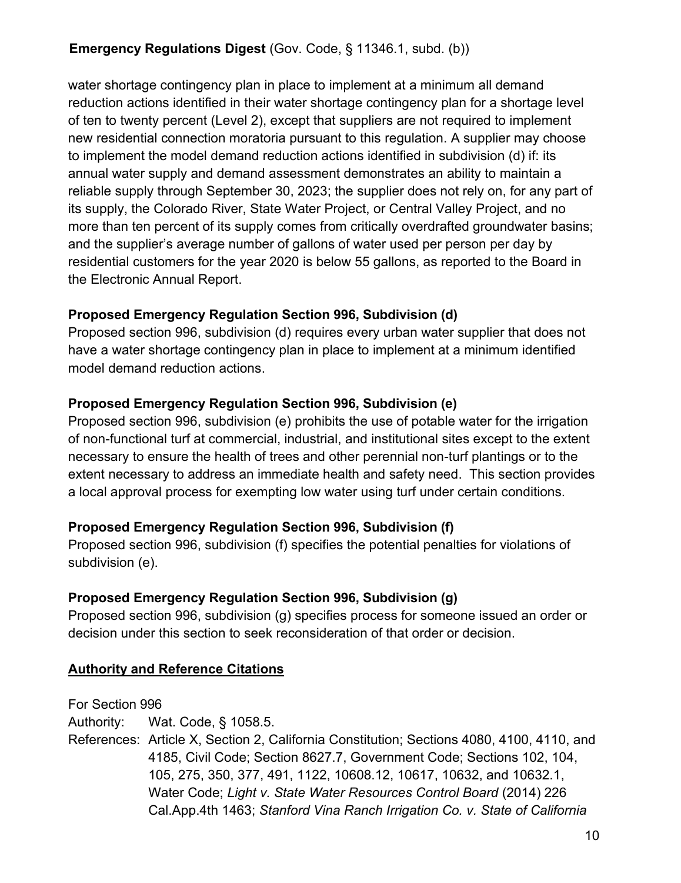water shortage contingency plan in place to implement at a minimum all demand reduction actions identified in their water shortage contingency plan for a shortage level of ten to twenty percent (Level 2), except that suppliers are not required to implement new residential connection moratoria pursuant to this regulation. A supplier may choose to implement the model demand reduction actions identified in subdivision (d) if: its annual water supply and demand assessment demonstrates an ability to maintain a reliable supply through September 30, 2023; the supplier does not rely on, for any part of its supply, the Colorado River, State Water Project, or Central Valley Project, and no more than ten percent of its supply comes from critically overdrafted groundwater basins; and the supplier's average number of gallons of water used per person per day by residential customers for the year 2020 is below 55 gallons, as reported to the Board in the Electronic Annual Report.

### **Proposed Emergency Regulation Section 996, Subdivision (d)**

Proposed section 996, subdivision (d) requires every urban water supplier that does not have a water shortage contingency plan in place to implement at a minimum identified model demand reduction actions.

### **Proposed Emergency Regulation Section 996, Subdivision (e)**

Proposed section 996, subdivision (e) prohibits the use of potable water for the irrigation of non-functional turf at commercial, industrial, and institutional sites except to the extent necessary to ensure the health of trees and other perennial non-turf plantings or to the extent necessary to address an immediate health and safety need. This section provides a local approval process for exempting low water using turf under certain conditions.

# **Proposed Emergency Regulation Section 996, Subdivision (f)**

Proposed section 996, subdivision (f) specifies the potential penalties for violations of subdivision (e).

# **Proposed Emergency Regulation Section 996, Subdivision (g)**

Proposed section 996, subdivision (g) specifies process for someone issued an order or decision under this section to seek reconsideration of that order or decision.

# **Authority and Reference Citations**

For Section 996 Authority: Wat. Code, § 1058.5. References: Article X, Section 2, California Constitution; Sections 4080, 4100, 4110, and 4185, Civil Code; Section 8627.7, Government Code; Sections 102, 104, 105, 275, 350, 377, 491, 1122, 10608.12, 10617, 10632, and 10632.1, Water Code; *Light v. State Water Resources Control Board* (2014) 226 Cal.App.4th 1463; *Stanford Vina Ranch Irrigation Co. v. State of California*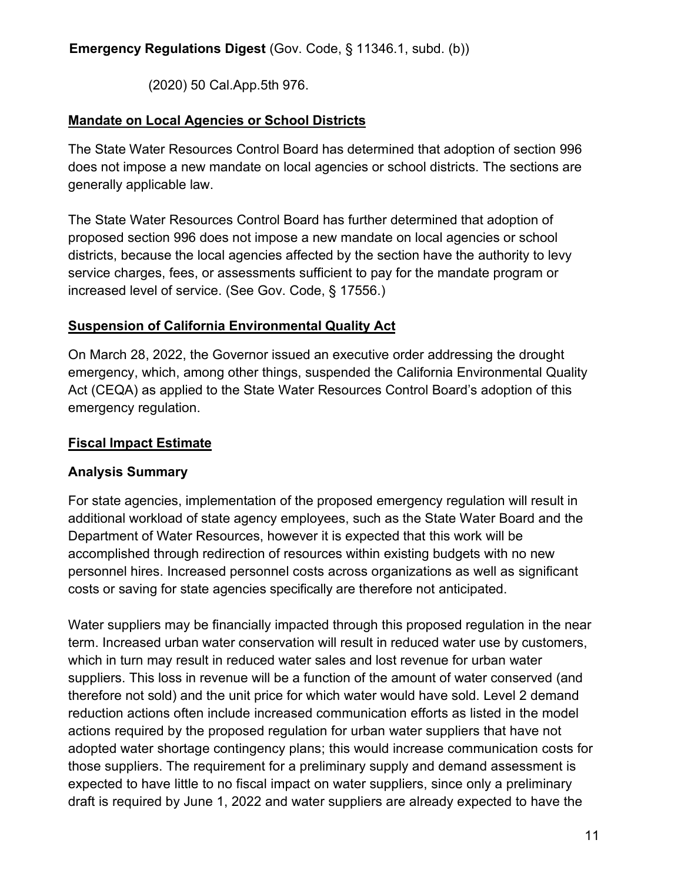(2020) 50 Cal.App.5th 976.

### **Mandate on Local Agencies or School Districts**

The State Water Resources Control Board has determined that adoption of section 996 does not impose a new mandate on local agencies or school districts. The sections are generally applicable law.

The State Water Resources Control Board has further determined that adoption of proposed section 996 does not impose a new mandate on local agencies or school districts, because the local agencies affected by the section have the authority to levy service charges, fees, or assessments sufficient to pay for the mandate program or increased level of service. (See Gov. Code, § 17556.)

### **Suspension of California Environmental Quality Act**

On March 28, 2022, the Governor issued an executive order addressing the drought emergency, which, among other things, suspended the California Environmental Quality Act (CEQA) as applied to the State Water Resources Control Board's adoption of this emergency regulation.

### **Fiscal Impact Estimate**

# **Analysis Summary**

For state agencies, implementation of the proposed emergency regulation will result in additional workload of state agency employees, such as the State Water Board and the Department of Water Resources, however it is expected that this work will be accomplished through redirection of resources within existing budgets with no new personnel hires. Increased personnel costs across organizations as well as significant costs or saving for state agencies specifically are therefore not anticipated.

Water suppliers may be financially impacted through this proposed regulation in the near term. Increased urban water conservation will result in reduced water use by customers, which in turn may result in reduced water sales and lost revenue for urban water suppliers. This loss in revenue will be a function of the amount of water conserved (and therefore not sold) and the unit price for which water would have sold. Level 2 demand reduction actions often include increased communication efforts as listed in the model actions required by the proposed regulation for urban water suppliers that have not adopted water shortage contingency plans; this would increase communication costs for those suppliers. The requirement for a preliminary supply and demand assessment is expected to have little to no fiscal impact on water suppliers, since only a preliminary draft is required by June 1, 2022 and water suppliers are already expected to have the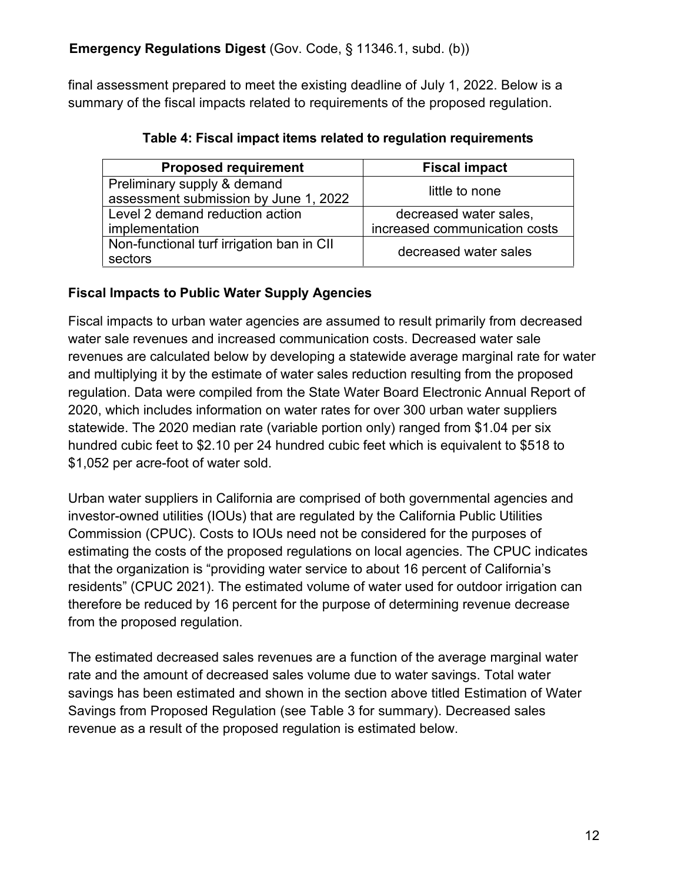final assessment prepared to meet the existing deadline of July 1, 2022. Below is a summary of the fiscal impacts related to requirements of the proposed regulation.

| <b>Proposed requirement</b>                                          | <b>Fiscal impact</b>          |  |  |
|----------------------------------------------------------------------|-------------------------------|--|--|
| Preliminary supply & demand<br>assessment submission by June 1, 2022 | little to none                |  |  |
| Level 2 demand reduction action                                      | decreased water sales,        |  |  |
| implementation                                                       | increased communication costs |  |  |
| Non-functional turf irrigation ban in CII<br>sectors                 | decreased water sales         |  |  |

**Table 4: Fiscal impact items related to regulation requirements**

### **Fiscal Impacts to Public Water Supply Agencies**

Fiscal impacts to urban water agencies are assumed to result primarily from decreased water sale revenues and increased communication costs. Decreased water sale revenues are calculated below by developing a statewide average marginal rate for water and multiplying it by the estimate of water sales reduction resulting from the proposed regulation. Data were compiled from the State Water Board Electronic Annual Report of 2020, which includes information on water rates for over 300 urban water suppliers statewide. The 2020 median rate (variable portion only) ranged from \$1.04 per six hundred cubic feet to \$2.10 per 24 hundred cubic feet which is equivalent to \$518 to \$1,052 per acre-foot of water sold.

Urban water suppliers in California are comprised of both governmental agencies and investor-owned utilities (IOUs) that are regulated by the California Public Utilities Commission (CPUC). Costs to IOUs need not be considered for the purposes of estimating the costs of the proposed regulations on local agencies. The CPUC indicates that the organization is "providing water service to about 16 percent of California's residents" (CPUC 2021). The estimated volume of water used for outdoor irrigation can therefore be reduced by 16 percent for the purpose of determining revenue decrease from the proposed regulation.

The estimated decreased sales revenues are a function of the average marginal water rate and the amount of decreased sales volume due to water savings. Total water savings has been estimated and shown in the section above titled Estimation of Water Savings from Proposed Regulation (see Table 3 for summary). Decreased sales revenue as a result of the proposed regulation is estimated below.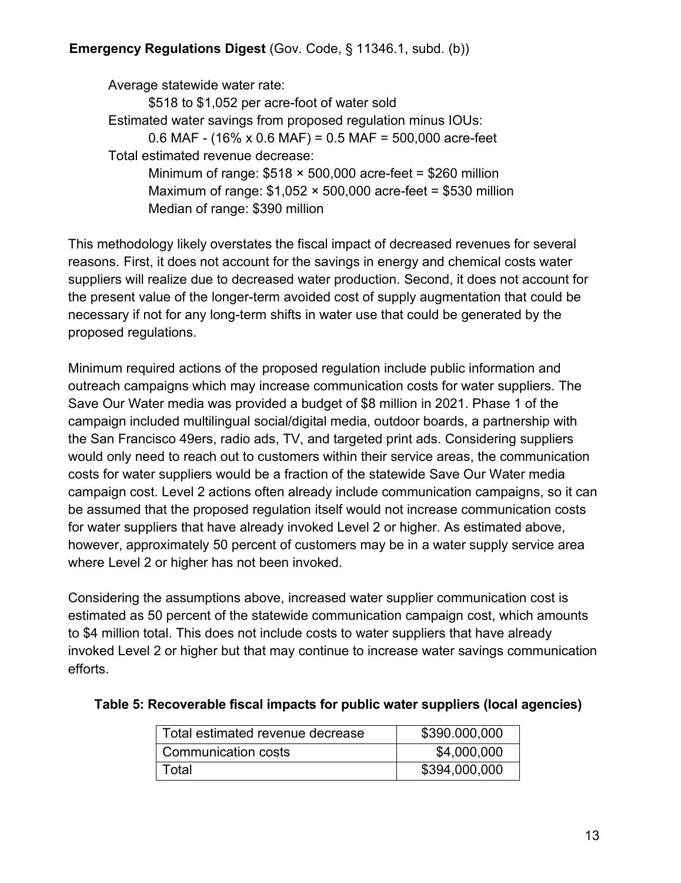Average statewide water rate:

\$518 to \$1,052 per acre-foot of water sold Estimated water savings from proposed regulation minus IOUs: 0.6 MAF - (16% x 0.6 MAF) = 0.5 MAF = 500,000 acre-feet Total estimated revenue decrease: Minimum of range:  $$518 \times 500,000$  acre-feet = \$260 million Maximum of range:  $$1,052 \times 500,000$  acre-feet = \$530 million

Median of range: \$390 million

This methodology likely overstates the fiscal impact of decreased revenues for several reasons. First, it does not account for the savings in energy and chemical costs water suppliers will realize due to decreased water production. Second, it does not account for the present value of the longer-term avoided cost of supply augmentation that could be necessary if not for any long-term shifts in water use that could be generated by the proposed regulations.

Minimum required actions of the proposed regulation include public information and outreach campaigns which may increase communication costs for water suppliers. The Save Our Water media was provided a budget of \$8 million in 2021. Phase 1 of the campaign included multilingual social/digital media, outdoor boards, a partnership with the San Francisco 49ers, radio ads, TV, and targeted print ads. Considering suppliers would only need to reach out to customers within their service areas, the communication costs for water suppliers would be a fraction of the statewide Save Our Water media campaign cost. Level 2 actions often already include communication campaigns, so it can be assumed that the proposed regulation itself would not increase communication costs for water suppliers that have already invoked Level 2 or higher. As estimated above, however, approximately 50 percent of customers may be in a water supply service area where Level 2 or higher has not been invoked.

Considering the assumptions above, increased water supplier communication cost is estimated as 50 percent of the statewide communication campaign cost, which amounts to \$4 million total. This does not include costs to water suppliers that have already invoked Level 2 or higher but that may continue to increase water savings communication efforts.

| Total estimated revenue decrease | \$390.000,000 |
|----------------------------------|---------------|
| Communication costs              | \$4,000,000   |
| Total                            | \$394,000,000 |

#### **Table 5: Recoverable fiscal impacts for public water suppliers (local agencies)**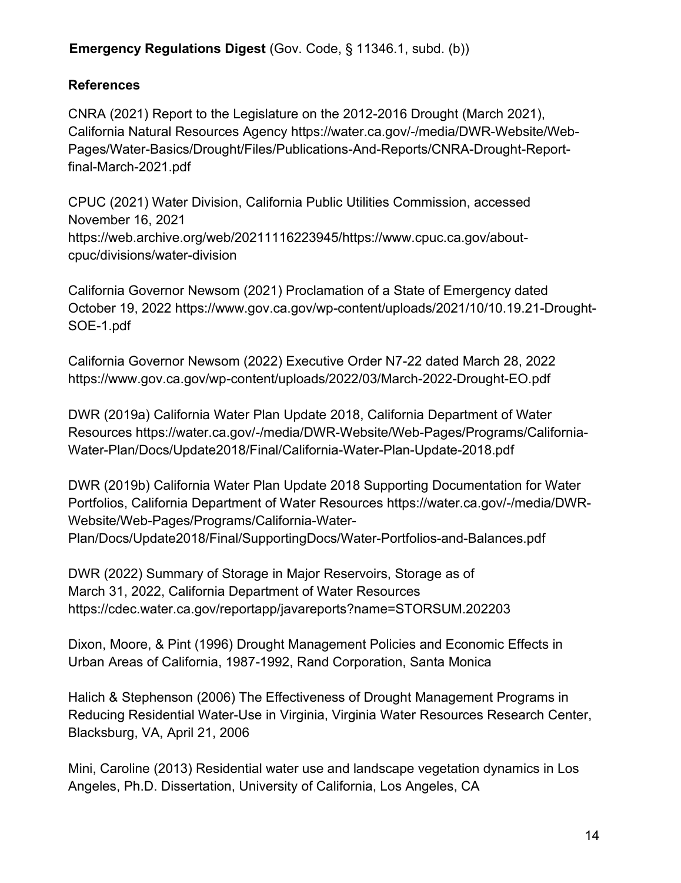# **References**

CNRA (2021) Report to the Legislature on the 2012-2016 Drought (March 2021), California Natural Resources Agency https://water.ca.gov/-/media/DWR-Website/Web-Pages/Water-Basics/Drought/Files/Publications-And-Reports/CNRA-Drought-Reportfinal-March-2021.pdf

CPUC (2021) Water Division, California Public Utilities Commission, accessed November 16, 2021 [https://web.archive.org/web/20211116223945/https://www.cpuc.ca.gov/about](https://web.archive.org/web/20211116223945/https://www.cpuc.ca.gov/about-cpuc/divisions/water-division)[cpuc/divisions/water-division](https://web.archive.org/web/20211116223945/https://www.cpuc.ca.gov/about-cpuc/divisions/water-division)

California Governor Newsom (2021) Proclamation of a State of Emergency dated October 19, 2022 [https://www.gov.ca.gov/wp-content/uploads/2021/10/10.19.21-Drought-](https://www.gov.ca.gov/wp-content/uploads/2021/10/10.19.21-Drought-SOE-1.pdf)[SOE-1.pdf](https://www.gov.ca.gov/wp-content/uploads/2021/10/10.19.21-Drought-SOE-1.pdf)

California Governor Newsom (2022) Executive Order N7-22 dated March 28, 2022 https://www.gov.ca.gov/wp-content/uploads/2022/03/March-2022-Drought-EO.pdf

DWR (2019a) California Water Plan Update 2018, California Department of Water Resources [https://water.ca.gov/-/media/DWR-Website/Web-Pages/Programs/California-](https://water.ca.gov/-/media/DWR-Website/Web-Pages/Programs/California-Water-Plan/Docs/Update2018/Final/California-Water-Plan-Update-2018.pdf)[Water-Plan/Docs/Update2018/Final/California-Water-Plan-Update-2018.pdf](https://water.ca.gov/-/media/DWR-Website/Web-Pages/Programs/California-Water-Plan/Docs/Update2018/Final/California-Water-Plan-Update-2018.pdf)

DWR (2019b) California Water Plan Update 2018 Supporting Documentation for Water Portfolios, California Department of Water Resources https://water.ca.gov/-/media/DWR-Website/Web-Pages/Programs/California-Water-Plan/Docs/Update2018/Final/SupportingDocs/Water-Portfolios-and-Balances.pdf

DWR (2022) Summary of Storage in Major Reservoirs, Storage as of March 31, 2022, California Department of Water Resources https://cdec.water.ca.gov/reportapp/javareports?name=STORSUM.202203

Dixon, Moore, & Pint (1996) Drought Management Policies and Economic Effects in Urban Areas of California, 1987-1992, Rand Corporation, Santa Monica

Halich & Stephenson (2006) The Effectiveness of Drought Management Programs in Reducing Residential Water-Use in Virginia, Virginia Water Resources Research Center, Blacksburg, VA, April 21, 2006

Mini, Caroline (2013) Residential water use and landscape vegetation dynamics in Los Angeles, Ph.D. Dissertation, University of California, Los Angeles, CA